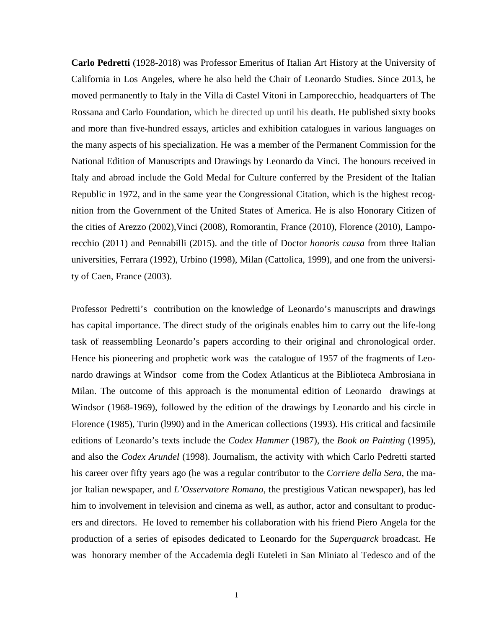**Carlo Pedretti** (1928-2018) was Professor Emeritus of Italian Art History at the University of California in Los Angeles, where he also held the Chair of Leonardo Studies. Since 2013, he moved permanently to Italy in the Villa di Castel Vitoni in Lamporecchio, headquarters of The Rossana and Carlo Foundation, which he directed up until his **death**. He published sixty books and more than five-hundred essays, articles and exhibition catalogues in various languages on the many aspects of his specialization. He was a member of the Permanent Commission for the National Edition of Manuscripts and Drawings by Leonardo da Vinci. The honours received in Italy and abroad include the Gold Medal for Culture conferred by the President of the Italian Republic in 1972, and in the same year the Congressional Citation, which is the highest recognition from the Government of the United States of America. He is also Honorary Citizen of the cities of Arezzo (2002),Vinci (2008), Romorantin, France (2010), Florence (2010), Lamporecchio (2011) and Pennabilli (2015). and the title of Doctor *honoris causa* from three Italian universities, Ferrara (1992), Urbino (1998), Milan (Cattolica, 1999), and one from the university of Caen, France (2003).

Professor Pedretti's contribution on the knowledge of Leonardo's manuscripts and drawings has capital importance. The direct study of the originals enables him to carry out the life-long task of reassembling Leonardo's papers according to their original and chronological order. Hence his pioneering and prophetic work was the catalogue of 1957 of the fragments of Leonardo drawings at Windsor come from the Codex Atlanticus at the Biblioteca Ambrosiana in Milan. The outcome of this approach is the monumental edition of Leonardo drawings at Windsor (1968-1969), followed by the edition of the drawings by Leonardo and his circle in Florence (1985), Turin (l990) and in the American collections (1993). His critical and facsimile editions of Leonardo's texts include the *Codex Hammer* (1987), the *Book on Painting* (1995), and also the *Codex Arundel* (1998). Journalism, the activity with which Carlo Pedretti started his career over fifty years ago (he was a regular contributor to the *Corriere della Sera*, the major Italian newspaper, and *L'Osservatore Romano*, the prestigious Vatican newspaper), has led him to involvement in television and cinema as well, as author, actor and consultant to producers and directors. He loved to remember his collaboration with his friend Piero Angela for the production of a series of episodes dedicated to Leonardo for the *Superquarck* broadcast. He was honorary member of the Accademia degli Euteleti in San Miniato al Tedesco and of the